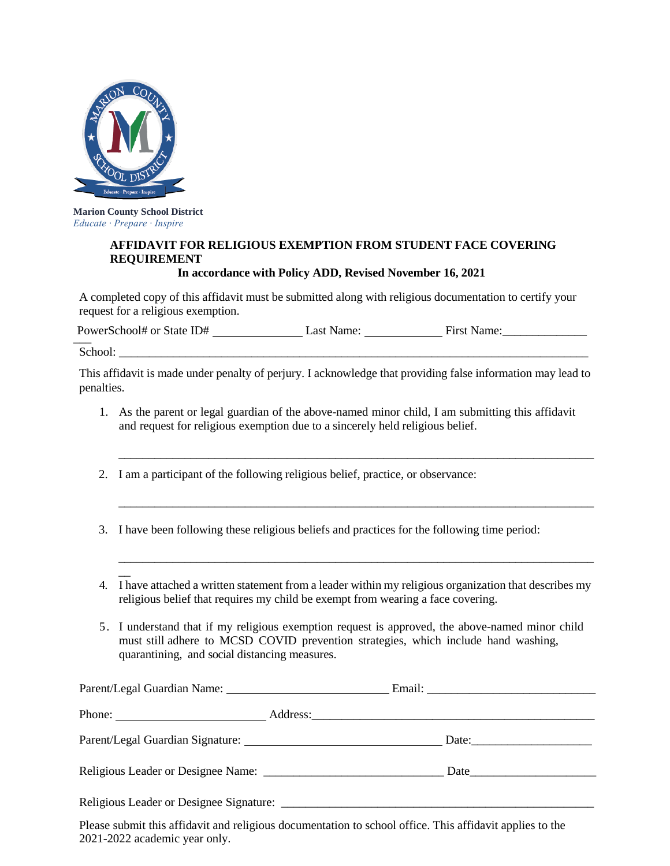

**Marion County School District** *Educate ∙ Prepare ∙ Inspire*

## **AFFIDAVIT FOR RELIGIOUS EXEMPTION FROM STUDENT FACE COVERING REQUIREMENT In accordance with Policy ADD, Revised November 16, 2021**

A completed copy of this affidavit must be submitted along with religious documentation to certify your request for a religious exemption.

PowerSchool# or State ID# Last Name: First Name:\_\_\_\_\_\_\_\_\_\_\_\_\_\_ \_\_\_

School:

This affidavit is made under penalty of perjury. I acknowledge that providing false information may lead to penalties.

1. As the parent or legal guardian of the above-named minor child, I am submitting this affidavit and request for religious exemption due to a sincerely held religious belief.

\_\_\_\_\_\_\_\_\_\_\_\_\_\_\_\_\_\_\_\_\_\_\_\_\_\_\_\_\_\_\_\_\_\_\_\_\_\_\_\_\_\_\_\_\_\_\_\_\_\_\_\_\_\_\_\_\_\_\_\_\_\_\_\_\_\_\_\_\_\_\_\_\_\_\_\_\_\_\_

\_\_\_\_\_\_\_\_\_\_\_\_\_\_\_\_\_\_\_\_\_\_\_\_\_\_\_\_\_\_\_\_\_\_\_\_\_\_\_\_\_\_\_\_\_\_\_\_\_\_\_\_\_\_\_\_\_\_\_\_\_\_\_\_\_\_\_\_\_\_\_\_\_\_\_\_\_\_\_

\_\_\_\_\_\_\_\_\_\_\_\_\_\_\_\_\_\_\_\_\_\_\_\_\_\_\_\_\_\_\_\_\_\_\_\_\_\_\_\_\_\_\_\_\_\_\_\_\_\_\_\_\_\_\_\_\_\_\_\_\_\_\_\_\_\_\_\_\_\_\_\_\_\_\_\_\_\_\_

- 2. I am a participant of the following religious belief, practice, or observance:
- 3. I have been following these religious beliefs and practices for the following time period:
- $\overline{a}$ 4. I have attached a written statement from a leader within my religious organization that describes my religious belief that requires my child be exempt from wearing a face covering.
- 5. I understand that if my religious exemption request is approved, the above-named minor child must still adhere to MCSD COVID prevention strategies, which include hand washing, quarantining, and social distancing measures.

|                                         | Date: |  |
|-----------------------------------------|-------|--|
|                                         |       |  |
| Religious Leader or Designee Signature: |       |  |

Please submit this affidavit and religious documentation to [school office. T](mailto:maskexemption@charleston.k12.sc.us)his affidavit applies to the 2021-2022 academic year only.